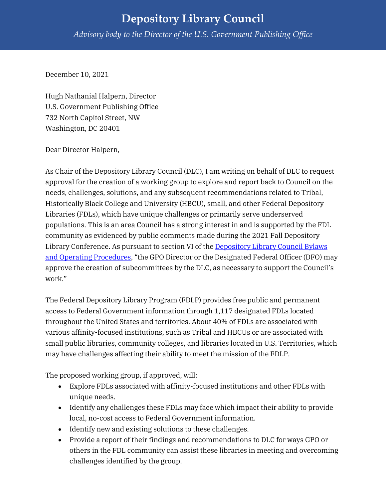## **Depository Library Council** *Advisory body to the Director of the U.S. Government Publishing Office*

December 10, 2021

Hugh Nathanial Halpern, Director U.S. Government Publishing Office 732 North Capitol Street, NW Washington, DC 20401

Dear Director Halpern,

As Chair of the Depository Library Council (DLC), I am writing on behalf of DLC to request approval for the creation of a working group to explore and report back to Council on the needs, challenges, solutions, and any subsequent recommendations related to Tribal, Historically Black College and University (HBCU), small, and other Federal Depository Libraries (FDLs), which have unique challenges or primarily serve underserved populations. This is an area Council has a strong interest in and is supported by the FDL community as evidenced by public comments made during the 2021 Fall Depository Library Conference. As pursuant to section VI of the [Depository Library Council Bylaws](https://www.fdlp.gov/file-repository/about-the-fdlp/federal-depository-library-council/4181-depository-library-council-bylaws-and-operating-procedures)  [and Operating Procedures,](https://www.fdlp.gov/file-repository/about-the-fdlp/federal-depository-library-council/4181-depository-library-council-bylaws-and-operating-procedures) "the GPO Director or the Designated Federal Officer (DFO) may approve the creation of subcommittees by the DLC, as necessary to support the Council's work."

The Federal Depository Library Program (FDLP) provides free public and permanent access to Federal Government information through 1,117 designated FDLs located throughout the United States and territories. About 40% of FDLs are associated with various affinity-focused institutions, such as Tribal and HBCUs or are associated with small public libraries, community colleges, and libraries located in U.S. Territories, which may have challenges affecting their ability to meet the mission of the FDLP.

The proposed working group, if approved, will:

- Explore FDLs associated with affinity-focused institutions and other FDLs with unique needs.
- Identify any challenges these FDLs may face which impact their ability to provide local, no-cost access to Federal Government information.
- Identify new and existing solutions to these challenges.
- Provide a report of their findings and recommendations to DLC for ways GPO or others in the FDL community can assist these libraries in meeting and overcoming challenges identified by the group.